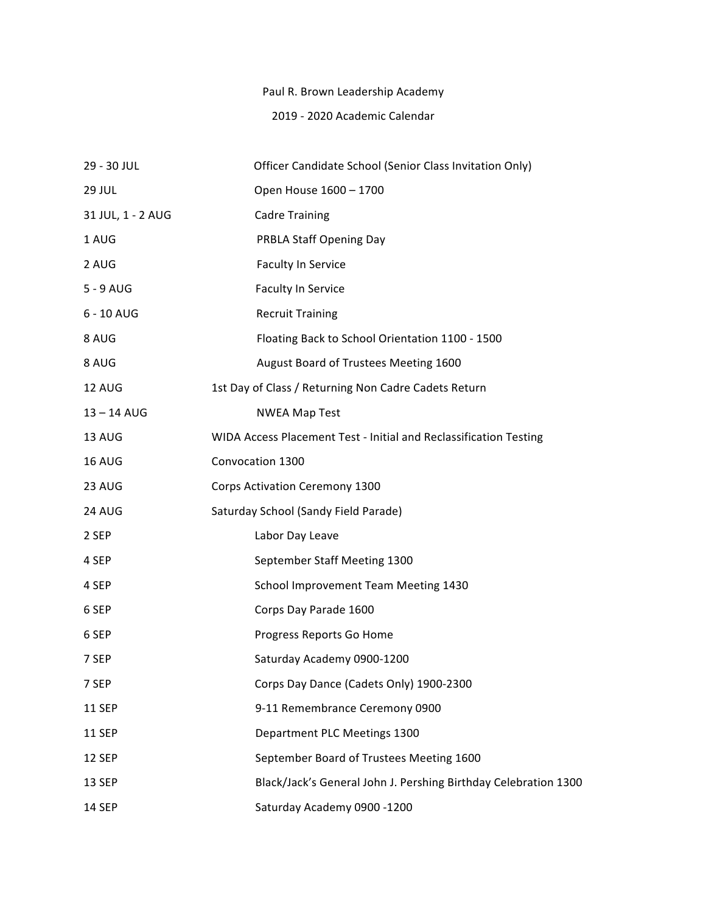## Paul R. Brown Leadership Academy

## 2019 - 2020 Academic Calendar

| 29 - 30 JUL       | Officer Candidate School (Senior Class Invitation Only)           |
|-------------------|-------------------------------------------------------------------|
| <b>29 JUL</b>     | Open House 1600 - 1700                                            |
| 31 JUL, 1 - 2 AUG | <b>Cadre Training</b>                                             |
| 1 AUG             | <b>PRBLA Staff Opening Day</b>                                    |
| 2 AUG             | <b>Faculty In Service</b>                                         |
| $5 - 9$ AUG       | Faculty In Service                                                |
| 6 - 10 AUG        | <b>Recruit Training</b>                                           |
| 8 AUG             | Floating Back to School Orientation 1100 - 1500                   |
| 8 AUG             | August Board of Trustees Meeting 1600                             |
| 12 AUG            | 1st Day of Class / Returning Non Cadre Cadets Return              |
| 13-14 AUG         | <b>NWEA Map Test</b>                                              |
| 13 AUG            | WIDA Access Placement Test - Initial and Reclassification Testing |
| <b>16 AUG</b>     | Convocation 1300                                                  |
| 23 AUG            | Corps Activation Ceremony 1300                                    |
| 24 AUG            | Saturday School (Sandy Field Parade)                              |
| 2 SEP             | Labor Day Leave                                                   |
| 4 SEP             | September Staff Meeting 1300                                      |
| 4 SEP             | School Improvement Team Meeting 1430                              |
| 6 SEP             | Corps Day Parade 1600                                             |
| 6 SEP             | Progress Reports Go Home                                          |
| 7 SEP             | Saturday Academy 0900-1200                                        |
| 7 SEP             | Corps Day Dance (Cadets Only) 1900-2300                           |
| <b>11 SEP</b>     | 9-11 Remembrance Ceremony 0900                                    |
| <b>11 SEP</b>     | Department PLC Meetings 1300                                      |
| 12 SEP            | September Board of Trustees Meeting 1600                          |
| 13 SEP            | Black/Jack's General John J. Pershing Birthday Celebration 1300   |
| <b>14 SEP</b>     | Saturday Academy 0900 -1200                                       |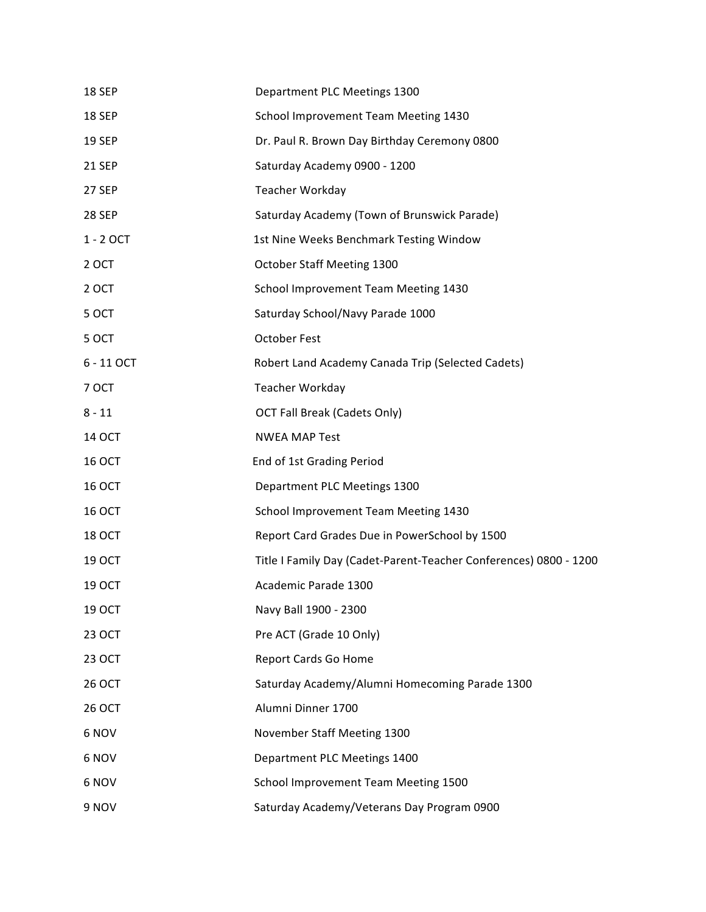| 18 SEP        | Department PLC Meetings 1300                                      |
|---------------|-------------------------------------------------------------------|
| 18 SEP        | School Improvement Team Meeting 1430                              |
| <b>19 SEP</b> | Dr. Paul R. Brown Day Birthday Ceremony 0800                      |
| <b>21 SEP</b> | Saturday Academy 0900 - 1200                                      |
| 27 SEP        | Teacher Workday                                                   |
| <b>28 SEP</b> | Saturday Academy (Town of Brunswick Parade)                       |
| 1 - 2 OCT     | 1st Nine Weeks Benchmark Testing Window                           |
| 2 OCT         | October Staff Meeting 1300                                        |
| 2 OCT         | School Improvement Team Meeting 1430                              |
| 5 OCT         | Saturday School/Navy Parade 1000                                  |
| 5 OCT         | <b>October Fest</b>                                               |
| 6 - 11 OCT    | Robert Land Academy Canada Trip (Selected Cadets)                 |
| 7 OCT         | Teacher Workday                                                   |
| $8 - 11$      | <b>OCT Fall Break (Cadets Only)</b>                               |
| 14 OCT        | <b>NWEA MAP Test</b>                                              |
| <b>16 OCT</b> | End of 1st Grading Period                                         |
| <b>16 OCT</b> | Department PLC Meetings 1300                                      |
| <b>16 OCT</b> | School Improvement Team Meeting 1430                              |
| <b>18 OCT</b> | Report Card Grades Due in PowerSchool by 1500                     |
| 19 OCT        | Title I Family Day (Cadet-Parent-Teacher Conferences) 0800 - 1200 |
| 19 OCT        | Academic Parade 1300                                              |
| 19 OCT        | Navy Ball 1900 - 2300                                             |
| 23 OCT        | Pre ACT (Grade 10 Only)                                           |
| 23 OCT        | Report Cards Go Home                                              |
| 26 OCT        | Saturday Academy/Alumni Homecoming Parade 1300                    |
| <b>26 OCT</b> | Alumni Dinner 1700                                                |
| 6 NOV         | November Staff Meeting 1300                                       |
| 6 NOV         | Department PLC Meetings 1400                                      |
| 6 NOV         | School Improvement Team Meeting 1500                              |
| 9 NOV         | Saturday Academy/Veterans Day Program 0900                        |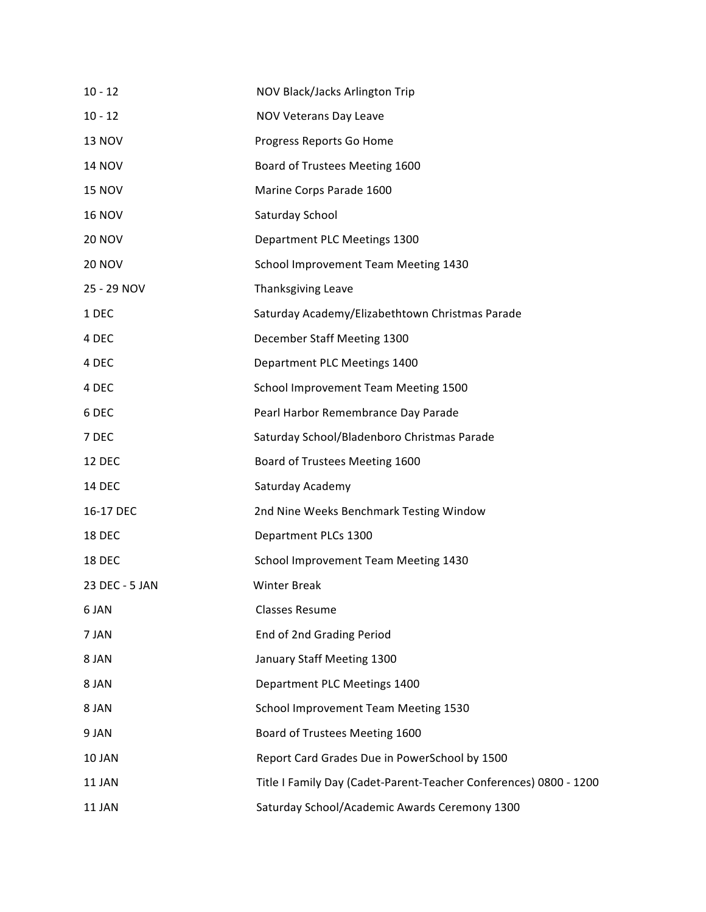| $10 - 12$      | NOV Black/Jacks Arlington Trip                                    |
|----------------|-------------------------------------------------------------------|
| $10 - 12$      | NOV Veterans Day Leave                                            |
| <b>13 NOV</b>  | Progress Reports Go Home                                          |
| <b>14 NOV</b>  | Board of Trustees Meeting 1600                                    |
| <b>15 NOV</b>  | Marine Corps Parade 1600                                          |
| <b>16 NOV</b>  | Saturday School                                                   |
| <b>20 NOV</b>  | Department PLC Meetings 1300                                      |
| <b>20 NOV</b>  | School Improvement Team Meeting 1430                              |
| 25 - 29 NOV    | <b>Thanksgiving Leave</b>                                         |
| 1 DEC          | Saturday Academy/Elizabethtown Christmas Parade                   |
| 4 DEC          | December Staff Meeting 1300                                       |
| 4 DEC          | Department PLC Meetings 1400                                      |
| 4 DEC          | School Improvement Team Meeting 1500                              |
| 6 DEC          | Pearl Harbor Remembrance Day Parade                               |
| 7 DEC          | Saturday School/Bladenboro Christmas Parade                       |
| <b>12 DEC</b>  | Board of Trustees Meeting 1600                                    |
| <b>14 DEC</b>  | Saturday Academy                                                  |
| 16-17 DEC      | 2nd Nine Weeks Benchmark Testing Window                           |
| <b>18 DEC</b>  | Department PLCs 1300                                              |
| 18 DEC         | School Improvement Team Meeting 1430                              |
| 23 DEC - 5 JAN | <b>Winter Break</b>                                               |
| 6 JAN          | <b>Classes Resume</b>                                             |
| 7 JAN          | End of 2nd Grading Period                                         |
| 8 JAN          | January Staff Meeting 1300                                        |
| 8 JAN          | Department PLC Meetings 1400                                      |
| 8 JAN          | School Improvement Team Meeting 1530                              |
| 9 JAN          | Board of Trustees Meeting 1600                                    |
| 10 JAN         | Report Card Grades Due in PowerSchool by 1500                     |
| 11 JAN         | Title I Family Day (Cadet-Parent-Teacher Conferences) 0800 - 1200 |
| 11 JAN         | Saturday School/Academic Awards Ceremony 1300                     |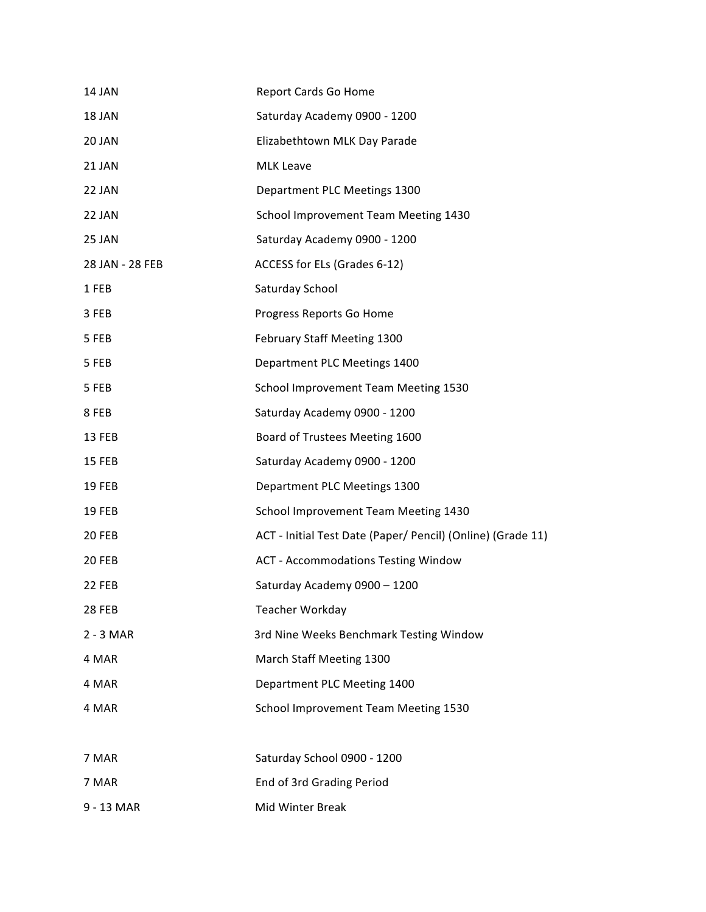| 14 JAN          | Report Cards Go Home                                        |
|-----------------|-------------------------------------------------------------|
| 18 JAN          | Saturday Academy 0900 - 1200                                |
| 20 JAN          | Elizabethtown MLK Day Parade                                |
| 21 JAN          | <b>MLK Leave</b>                                            |
| 22 JAN          | Department PLC Meetings 1300                                |
| 22 JAN          | School Improvement Team Meeting 1430                        |
| 25 JAN          | Saturday Academy 0900 - 1200                                |
| 28 JAN - 28 FEB | ACCESS for ELs (Grades 6-12)                                |
| 1 FEB           | Saturday School                                             |
| 3 FEB           | Progress Reports Go Home                                    |
| 5 FEB           | February Staff Meeting 1300                                 |
| 5 FEB           | Department PLC Meetings 1400                                |
| 5 FEB           | School Improvement Team Meeting 1530                        |
| 8 FEB           | Saturday Academy 0900 - 1200                                |
| 13 FEB          | Board of Trustees Meeting 1600                              |
| <b>15 FEB</b>   | Saturday Academy 0900 - 1200                                |
| 19 FEB          | Department PLC Meetings 1300                                |
| <b>19 FEB</b>   | School Improvement Team Meeting 1430                        |
| 20 FEB          | ACT - Initial Test Date (Paper/ Pencil) (Online) (Grade 11) |
| 20 FEB          | <b>ACT - Accommodations Testing Window</b>                  |
| 22 FEB          | Saturday Academy 0900 - 1200                                |
| 28 FEB          | Teacher Workday                                             |
| $2 - 3$ MAR     | 3rd Nine Weeks Benchmark Testing Window                     |
| 4 MAR           | March Staff Meeting 1300                                    |
| 4 MAR           | Department PLC Meeting 1400                                 |
| 4 MAR           | School Improvement Team Meeting 1530                        |
|                 |                                                             |
| 7 MAR           | Saturday School 0900 - 1200                                 |
| 7 MAR           | End of 3rd Grading Period                                   |
| 9 - 13 MAR      | Mid Winter Break                                            |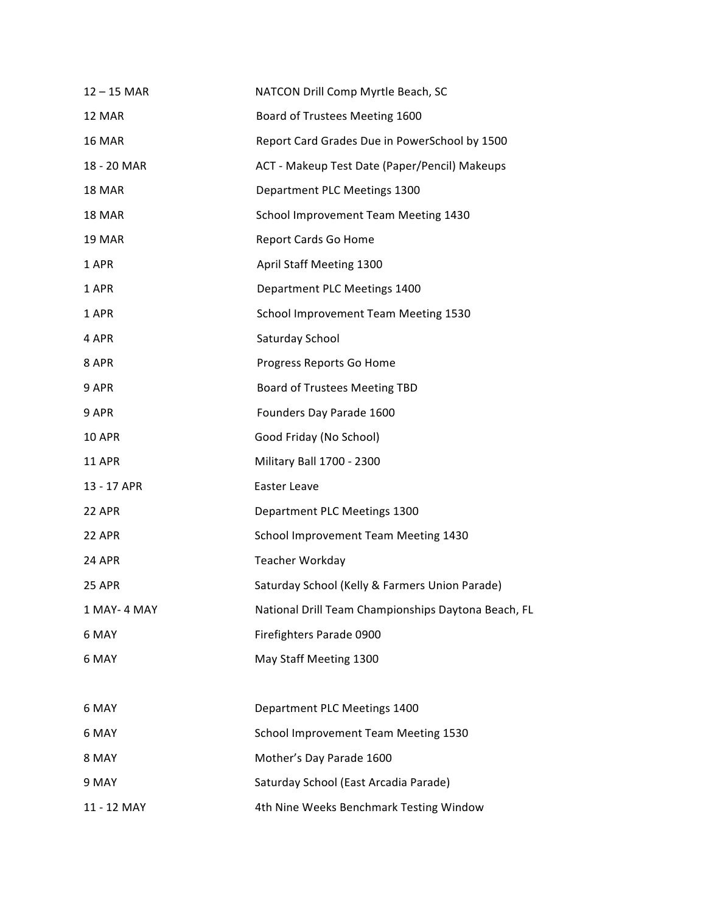| $12 - 15$ MAR | NATCON Drill Comp Myrtle Beach, SC                  |
|---------------|-----------------------------------------------------|
| 12 MAR        | Board of Trustees Meeting 1600                      |
| 16 MAR        | Report Card Grades Due in PowerSchool by 1500       |
| 18 - 20 MAR   | ACT - Makeup Test Date (Paper/Pencil) Makeups       |
| 18 MAR        | Department PLC Meetings 1300                        |
| 18 MAR        | School Improvement Team Meeting 1430                |
| 19 MAR        | Report Cards Go Home                                |
| 1 APR         | April Staff Meeting 1300                            |
| 1 APR         | Department PLC Meetings 1400                        |
| 1 APR         | School Improvement Team Meeting 1530                |
| 4 APR         | Saturday School                                     |
| 8 APR         | Progress Reports Go Home                            |
| 9 APR         | Board of Trustees Meeting TBD                       |
| 9 APR         | Founders Day Parade 1600                            |
| <b>10 APR</b> | Good Friday (No School)                             |
| <b>11 APR</b> | Military Ball 1700 - 2300                           |
| 13 - 17 APR   | Easter Leave                                        |
| <b>22 APR</b> | Department PLC Meetings 1300                        |
| <b>22 APR</b> | School Improvement Team Meeting 1430                |
| <b>24 APR</b> | Teacher Workday                                     |
| <b>25 APR</b> | Saturday School (Kelly & Farmers Union Parade)      |
| 1 MAY-4 MAY   | National Drill Team Championships Daytona Beach, FL |
| 6 MAY         | Firefighters Parade 0900                            |
| 6 MAY         | May Staff Meeting 1300                              |
|               |                                                     |
| 6 MAY         | Department PLC Meetings 1400                        |
| 6 MAY         | School Improvement Team Meeting 1530                |
| 8 MAY         | Mother's Day Parade 1600                            |
| 9 MAY         | Saturday School (East Arcadia Parade)               |
| 11 - 12 MAY   | 4th Nine Weeks Benchmark Testing Window             |